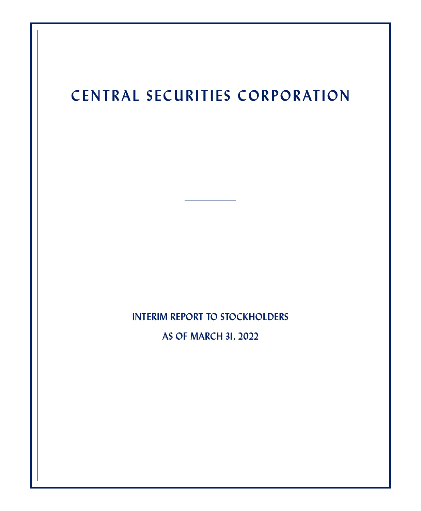# **CENTRAL SECURITIES CORPORATION**

**\_\_\_\_\_\_\_\_\_**

**INTERIM REPORT TO STOCKHOLDERS**

**AS OF MARCH 31, 2022**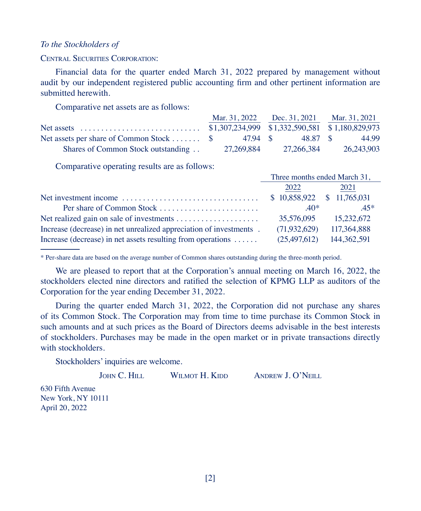#### *To the Stockholders of*

CENTRAL SECURITIES CORPORATION:

Financial data for the quarter ended March 31, 2022 prepared by management without audit by our independent registered public accounting firm and other pertinent information are submitted herewith.

Comparative net assets are as follows:

|                                                                     | Mar. 31, 2022 Dec. 31, 2021 Mar. 31, 2021 |            |            |
|---------------------------------------------------------------------|-------------------------------------------|------------|------------|
|                                                                     |                                           |            |            |
| Net assets per share of Common Stock $\frac{1}{2}$ 47.94 \$48.87 \$ |                                           |            | 44.99      |
| Shares of Common Stock outstanding                                  | 27.269.884                                | 27.266.384 | 26.243.903 |

Comparative operating results are as follows:

|                                                                       | Three months ended March 31,    |             |  |
|-----------------------------------------------------------------------|---------------------------------|-------------|--|
|                                                                       | 2022                            | 2021        |  |
|                                                                       | $$10,858,922 \quad $11,765,031$ |             |  |
|                                                                       | $40*$                           | $45*$       |  |
|                                                                       | 35,576,095                      | 15.232.672  |  |
| Increase (decrease) in net unrealized appreciation of investments.    | (71, 932, 629)                  | 117,364,888 |  |
| Increase (decrease) in net assets resulting from operations $\dots$ . | (25.497.612)                    | 144.362.591 |  |

\* Per-share data are based on the average number of Common shares outstanding during the three-month period.

We are pleased to report that at the Corporation's annual meeting on March 16, 2022, the stockholders elected nine directors and ratified the selection of KPMG LLP as auditors of the Corporation for the year ending December 31, 2022.

During the quarter ended March 31, 2022, the Corporation did not purchase any shares of its Common Stock. The Corporation may from time to time purchase its Common Stock in such amounts and at such prices as the Board of Directors deems advisable in the best interests of stockholders. Purchases may be made in the open market or in private transactions directly with stockholders.

Stockholders' inquiries are welcome.

JOHN C. HILL WILMOT H. KIDD ANDREW J. O'NEILL

630 Fifth Avenue New York, NY 10111 April 20, 2022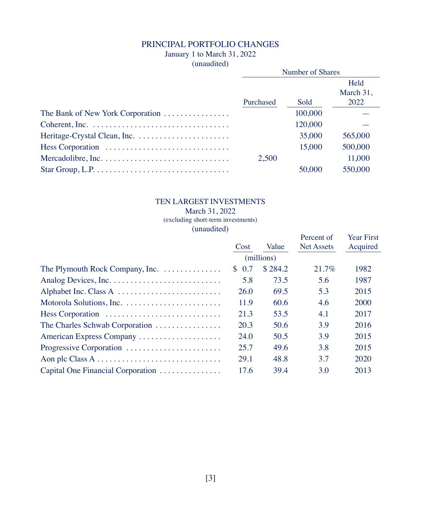# PRINCIPAL PORTFOLIO CHANGES

# January 1 to March 31, 2022

(unaudited)

| $\frac{1}{2}$                    | Number of Shares |         |                           |
|----------------------------------|------------------|---------|---------------------------|
|                                  | Purchased        | Sold    | Held<br>March 31,<br>2022 |
| The Bank of New York Corporation |                  | 100,000 |                           |
|                                  |                  | 120,000 |                           |
|                                  |                  | 35,000  | 565,000                   |
|                                  |                  | 15,000  | 500,000                   |
|                                  | 2.500            |         | 11,000                    |
|                                  |                  | 50,000  | 550,000                   |

# TEN LARGEST INVESTMENTS

#### March 31, 2022 (excluding short-term investments)

(unaudited)

|                                                              | Cost       | Value   | Percent of<br>Net Assets | <b>Year First</b><br>Acquired |
|--------------------------------------------------------------|------------|---------|--------------------------|-------------------------------|
|                                                              | (millions) |         |                          |                               |
| The Plymouth Rock Company, Inc.                              | \$0.7      | \$284.2 | 21.7%                    | 1982                          |
|                                                              | 5.8        | 73.5    | 5.6                      | 1987                          |
|                                                              | 26.0       | 69.5    | 5.3                      | 2015                          |
|                                                              | 11.9       | 60.6    | 4.6                      | 2000                          |
| Hess Corporation                                             | 21.3       | 53.5    | 4.1                      | 2017                          |
| The Charles Schwab Corporation $\ldots \ldots \ldots \ldots$ | 20.3       | 50.6    | 3.9                      | 2016                          |
| American Express Company                                     | 24.0       | 50.5    | 3.9                      | 2015                          |
| Progressive Corporation                                      | 25.7       | 49.6    | 3.8                      | 2015                          |
|                                                              | 29.1       | 48.8    | 3.7                      | 2020                          |
| Capital One Financial Corporation                            | 17.6       | 39.4    | 3.0                      | 2013                          |